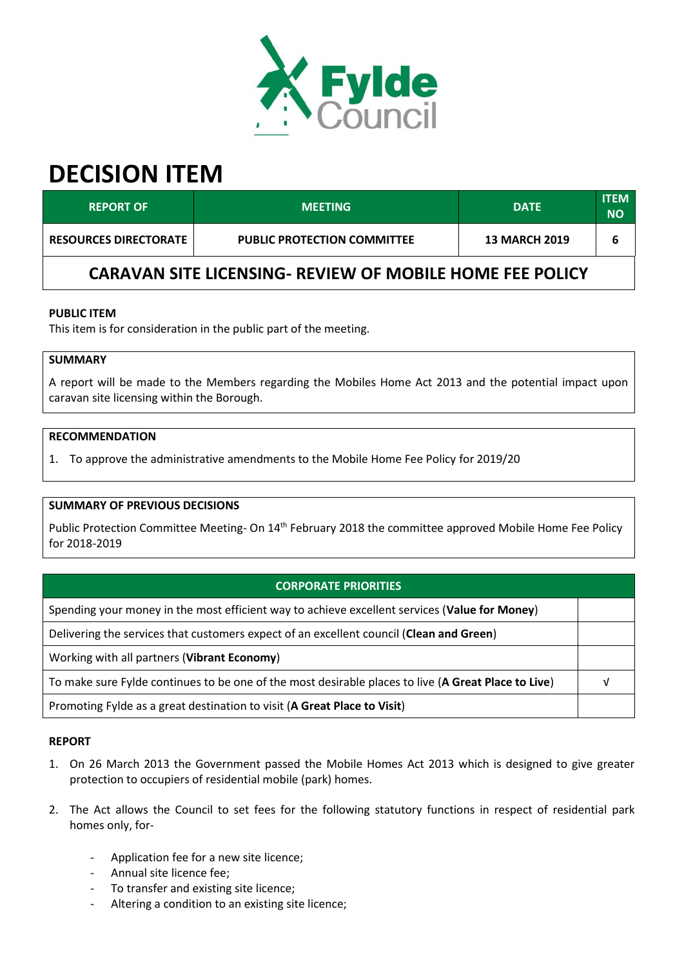

# **DECISION ITEM**

| <b>REPORT OF</b>                                                | <b>MEETING</b>                     | <b>DATE</b>          | <b>ITEM</b><br>NΟ |  |  |
|-----------------------------------------------------------------|------------------------------------|----------------------|-------------------|--|--|
| <b>RESOURCES DIRECTORATE</b>                                    | <b>PUBLIC PROTECTION COMMITTEE</b> | <b>13 MARCH 2019</b> | 6                 |  |  |
| <b>CARAVAN SITE LICENSING- REVIEW OF MOBILE HOME FEE POLICY</b> |                                    |                      |                   |  |  |

# **PUBLIC ITEM**

This item is for consideration in the public part of the meeting.

# **SUMMARY**

A report will be made to the Members regarding the Mobiles Home Act 2013 and the potential impact upon caravan site licensing within the Borough.

#### **RECOMMENDATION**

1. To approve the administrative amendments to the Mobile Home Fee Policy for 2019/20

### **SUMMARY OF PREVIOUS DECISIONS**

Public Protection Committee Meeting- On 14<sup>th</sup> February 2018 the committee approved Mobile Home Fee Policy for 2018-2019

# **CORPORATE PRIORITIES**

Spending your money in the most efficient way to achieve excellent services (**Value for Money**)

Delivering the services that customers expect of an excellent council (**Clean and Green**)

Working with all partners (**Vibrant Economy**)

To make sure Fylde continues to be one of the most desirable places to live (**A Great Place to Live**) √

Promoting Fylde as a great destination to visit (**A Great Place to Visit**)

#### **REPORT**

- 1. On 26 March 2013 the Government passed the Mobile Homes Act 2013 which is designed to give greater protection to occupiers of residential mobile (park) homes.
- 2. The Act allows the Council to set fees for the following statutory functions in respect of residential park homes only, for-
	- Application fee for a new site licence;
	- Annual site licence fee;
	- To transfer and existing site licence;
	- Altering a condition to an existing site licence;